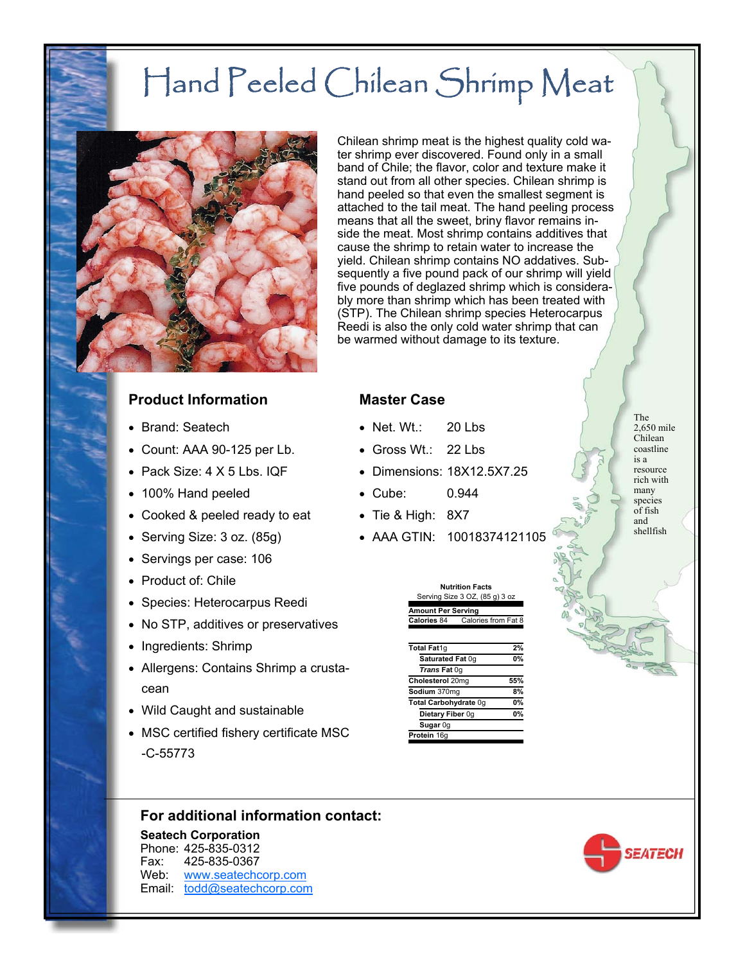# Hand Peeled Chilean Shrimp Meat



Chilean shrimp meat is the highest quality cold water shrimp ever discovered. Found only in a small band of Chile; the flavor, color and texture make it stand out from all other species. Chilean shrimp is hand peeled so that even the smallest segment is attached to the tail meat. The hand peeling process means that all the sweet, briny flavor remains inside the meat. Most shrimp contains additives that cause the shrimp to retain water to increase the yield. Chilean shrimp contains NO addatives. Subsequently a five pound pack of our shrimp will yield five pounds of deglazed shrimp which is considerably more than shrimp which has been treated with (STP). The Chilean shrimp species Heterocarpus Reedi is also the only cold water shrimp that can be warmed without damage to its texture.

#### **Product Information**

- Brand: Seatech
- Count: AAA 90-125 per Lb.
- $\bullet$  Pack Size:  $4 \times 5$  Lbs. IQF
- 100% Hand peeled
- Cooked & peeled ready to eat
- Serving Size: 3 oz. (85g)
- Servings per case: 106
- Product of: Chile
- Species: Heterocarpus Reedi
- No STP, additives or preservatives
- Ingredients: Shrimp
- Allergens: Contains Shrimp a crustacean
- Wild Caught and sustainable
- MSC certified fishery certificate MSC -C-55773

#### **Master Case**

- Net. Wt.: 20 Lbs
- Gross Wt.: 22 Lbs
- Dimensions: 18X12.5X7.25
- Cube: 0.944
- Tie & High: 8X7
- AAA GTIN: 10018374121105

| <b>Nutrition Facts</b>         |                     |  |
|--------------------------------|---------------------|--|
| Serving Size 3 OZ, (85 g) 3 oz |                     |  |
| <b>Amount Per Serving</b>      |                     |  |
| Calories 84                    | Calories from Fat 8 |  |

| Total Fat1q           | 2%  |
|-----------------------|-----|
| Saturated Fat 0g      | 0%  |
| Trans Fat 0q          |     |
| Cholesterol 20mg      | 55% |
| Sodium 370mg          | 8%  |
| Total Carbohydrate 0q | 0%  |
| Dietary Fiber 0g      | 0%  |
| Sugar 0g              |     |
| Protein 16g           |     |

The 2,650 mile Chilean coastline is a resource rich with many species of fish and shellfish



#### **For additional information contact:**

**Seatech Corporation** Phone: 425-835-0312 Fax: 425-835-0367 Web: www.seatechcorp.com Email: todd@seatechcorp.com